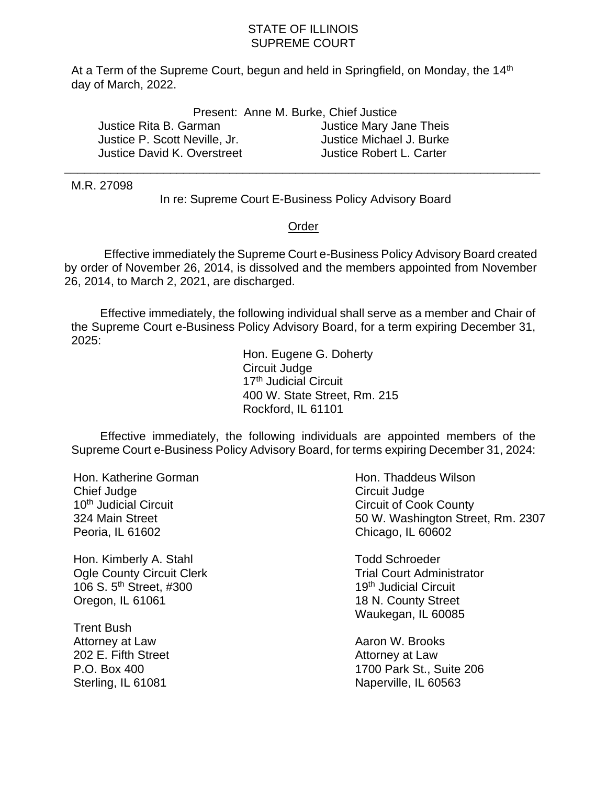## STATE OF ILLINOIS SUPREME COURT

At a Term of the Supreme Court, begun and held in Springfield, on Monday, the 14<sup>th</sup> day of March, 2022.

|                               | Present: Anne M. Burke, Chief Justice |
|-------------------------------|---------------------------------------|
| Justice Rita B. Garman        | Justice Mary Jane Theis               |
| Justice P. Scott Neville, Jr. | Justice Michael J. Burke              |
| Justice David K. Overstreet   | Justice Robert L. Carter              |

M.R. 27098

In re: Supreme Court E-Business Policy Advisory Board

\_\_\_\_\_\_\_\_\_\_\_\_\_\_\_\_\_\_\_\_\_\_\_\_\_\_\_\_\_\_\_\_\_\_\_\_\_\_\_\_\_\_\_\_\_\_\_\_\_\_\_\_\_\_\_\_\_\_\_\_\_\_\_\_\_\_\_\_\_\_\_\_

## Order

 Effective immediately the Supreme Court e-Business Policy Advisory Board created by order of November 26, 2014, is dissolved and the members appointed from November 26, 2014, to March 2, 2021, are discharged.

Effective immediately, the following individual shall serve as a member and Chair of the Supreme Court e-Business Policy Advisory Board, for a term expiring December 31, 2025:

> Hon. Eugene G. Doherty Circuit Judge 17<sup>th</sup> Judicial Circuit 400 W. State Street, Rm. 215 Rockford, IL 61101

Effective immediately, the following individuals are appointed members of the Supreme Court e-Business Policy Advisory Board, for terms expiring December 31, 2024:

Hon. Katherine Gorman Chief Judge 10<sup>th</sup> Judicial Circuit 324 Main Street Peoria, IL 61602

Hon. Kimberly A. Stahl Ogle County Circuit Clerk 106 S. 5th Street, #300 Oregon, IL 61061

Trent Bush Attorney at Law 202 E. Fifth Street P.O. Box 400 Sterling, IL 61081

Hon. Thaddeus Wilson Circuit Judge Circuit of Cook County 50 W. Washington Street, Rm. 2307 Chicago, IL 60602

Todd Schroeder Trial Court Administrator 19<sup>th</sup> Judicial Circuit 18 N. County Street Waukegan, IL 60085

Aaron W. Brooks Attorney at Law 1700 Park St., Suite 206 Naperville, IL 60563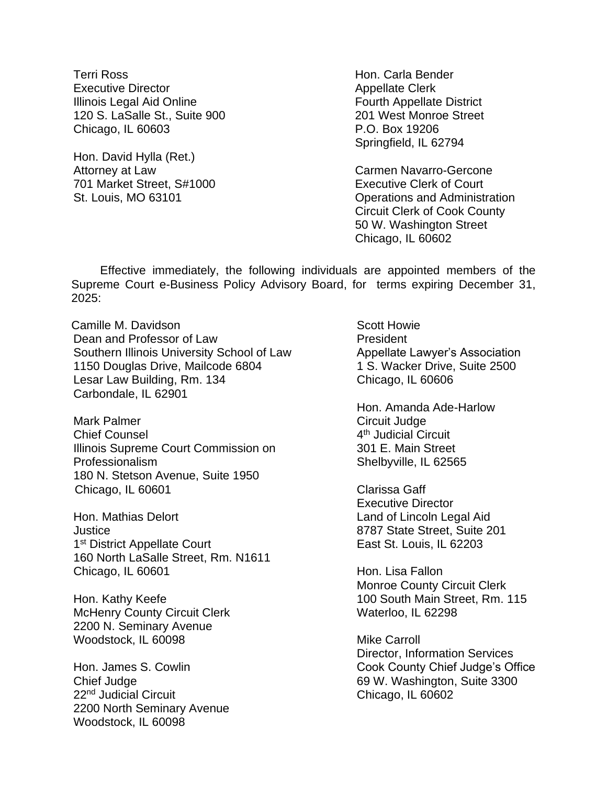Terri Ross Executive Director Illinois Legal Aid Online 120 S. LaSalle St., Suite 900 Chicago, IL 60603

Hon. David Hylla (Ret.) Attorney at Law 701 Market Street, S#1000 St. Louis, MO 63101

Hon. Carla Bender Appellate Clerk Fourth Appellate District 201 West Monroe Street P.O. Box 19206 Springfield, IL 62794

Carmen Navarro-Gercone Executive Clerk of Court Operations and Administration Circuit Clerk of Cook County 50 W. Washington Street Chicago, IL 60602

Effective immediately, the following individuals are appointed members of the Supreme Court e-Business Policy Advisory Board, for terms expiring December 31, 2025:

Camille M. Davidson Dean and Professor of Law Southern Illinois University School of Law 1150 Douglas Drive, Mailcode 6804 Lesar Law Building, Rm. 134 Carbondale, IL 62901

Mark Palmer Chief Counsel Illinois Supreme Court Commission on Professionalism 180 N. Stetson Avenue, Suite 1950 Chicago, IL 60601

Hon. Mathias Delort **Justice** 1<sup>st</sup> District Appellate Court 160 North LaSalle Street, Rm. N1611 Chicago, IL 60601

Hon. Kathy Keefe McHenry County Circuit Clerk 2200 N. Seminary Avenue Woodstock, IL 60098

Hon. James S. Cowlin Chief Judge 22<sup>nd</sup> Judicial Circuit 2200 North Seminary Avenue Woodstock, IL 60098

Scott Howie **President** Appellate Lawyer's Association 1 S. Wacker Drive, Suite 2500 Chicago, IL 60606

Hon. Amanda Ade-Harlow Circuit Judge 4<sup>th</sup> Judicial Circuit 301 E. Main Street Shelbyville, IL 62565

Clarissa Gaff Executive Director Land of Lincoln Legal Aid 8787 State Street, Suite 201 East St. Louis, IL 62203

Hon. Lisa Fallon Monroe County Circuit Clerk 100 South Main Street, Rm. 115 Waterloo, IL 62298

Mike Carroll Director, Information Services Cook County Chief Judge's Office 69 W. Washington, Suite 3300 Chicago, IL 60602